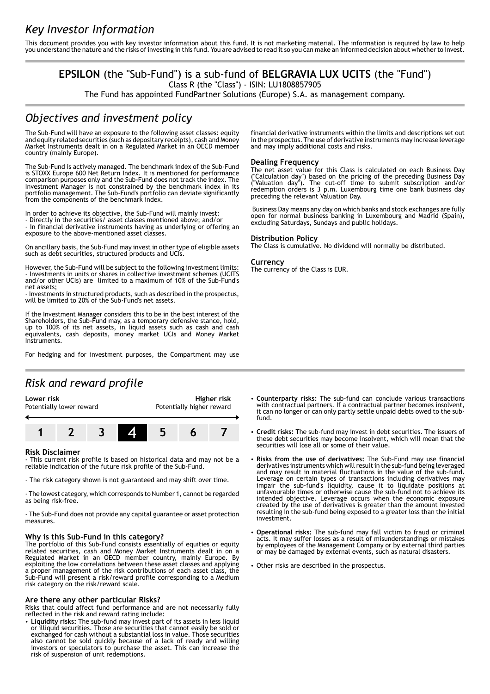This document provides you with key investor information about this fund. It is not marketing material. The information is required by law to help you understand the nature and the risks of investing in this fund. You are advised to read it so you can make an informed decision about whether to invest.

# **EPSILON** (the "Sub-Fund") is a sub-fund of **BELGRAVIA LUX UCITS** (the "Fund")

Class R (the "Class") - ISIN: LU1808857905

The Fund has appointed FundPartner Solutions (Europe) S.A. as management company.

## *Objectives and investment policy*

The Sub-Fund will have an exposure to the following asset classes: equity and equity related securities (such as depositary receipts), cash and Money Market Instruments dealt in on a Regulated Market in an OECD member country (mainly Europe).

The Sub-Fund is actively managed. The benchmark index of the Sub-Fund is STOXX Europe 600 Net Return Index. It is mentioned for performance comparison purposes only and the Sub-Fund does not track the index. The Investment Manager is not constrained by the benchmark index in its portfolio management. The Sub-Fund's portfolio can deviate significantly from the components of the benchmark index.

In order to achieve its objective, the Sub-Fund will mainly invest:

- Directly in the securities/ asset classes mentioned above; and/or - In financial derivative instruments having as underlying or offering an exposure to the above-mentioned asset classes.

On ancillary basis, the Sub-Fund may invest in other type of eligible assets such as debt securities, structured products and UCIs.

However, the Sub-Fund will be subject to the following investment limits: - Investments in units or shares in collective investment schemes (UCITS and/or other UCIs) are limited to a maximum of 10% of the Sub-Fund's net assets;

- Investments in structured products, such as described in the prospectus, will be limited to 20% of the Sub-Fund's net assets.

If the Investment Manager considers this to be in the best interest of the Shareholders, the Sub-Fund may, as a temporary defensive stance, hold, up to 100% of its net assets, in liquid assets such as cash and cash equivalents, cash deposits, money market UCIs and Money Market Instruments.

For hedging and for investment purposes, the Compartment may use

# *Risk and reward profile*



#### **Risk Disclaimer**

- This current risk profile is based on historical data and may not be a reliable indication of the future risk profile of the Sub-Fund.

- The risk category shown is not guaranteed and may shift over time.

- The lowest category, which corresponds to Number 1, cannot be regarded as being risk-free.

- The Sub-Fund does not provide any capital guarantee or asset protection measures.

#### **Why is this Sub-Fund in this category?**

The portfolio of this Sub-Fund consists essentially of equities or equity related securities, cash and Money Market Instruments dealt in on a Regulated Market in an OECD member country, mainly Europe. By exploiting the low correlations between these asset classes and applying a proper management of the risk contributions of each asset class, the Sub-Fund will present a risk/reward profile corresponding to a Medium risk category on the risk/reward scale.

#### **Are there any other particular Risks?**

Risks that could affect fund performance and are not necessarily fully reflected in the risk and reward rating include:

2 **Liquidity risks:** The sub-fund may invest part of its assets in less liquid or illiquid securities. Those are securities that cannot easily be sold or exchanged for cash without a substantial loss in value. Those securities also cannot be sold quickly because of a lack of ready and willing investors or speculators to purchase the asset. This can increase the risk of suspension of unit redemptions.

financial derivative instruments within the limits and descriptions set out in the prospectus. The use of derivative instruments may increase leverage and may imply additional costs and risks.

#### **Dealing Frequency**

The net asset value for this Class is calculated on each Business Day ("Calculation day") based on the pricing of the preceding Business Day ("Valuation day"). The cut-off time to submit subscription and/or redemption orders is 3 p.m. Luxembourg time one bank business day preceding the relevant Valuation Day.

 Business Day means any day on which banks and stock exchanges are fully open for normal business banking in Luxembourg and Madrid (Spain), excluding Saturdays, Sundays and public holidays.

#### **Distribution Policy**

The Class is cumulative. No dividend will normally be distributed.

#### **Currency**

The currency of the Class is EUR.

- 2 **Counterparty risks:** The sub-fund can conclude various transactions with contractual partners. If a contractual partner becomes insolvent, it can no longer or can only partly settle unpaid debts owed to the subfund.
- 2 **Credit risks:** The sub-fund may invest in debt securities. The issuers of these debt securities may become insolvent, which will mean that the securities will lose all or some of their value.
- 2 **Risks from the use of derivatives:** The Sub-Fund may use financial derivatives instruments which will result in the sub-fund being leveraged and may result in material fluctuations in the value of the sub-fund. Leverage on certain types of transactions including derivatives may impair the sub-fund's liquidity, cause it to liquidate positions at unfavourable times or otherwise cause the sub-fund not to achieve its intended objective. Leverage occurs when the economic exposure created by the use of derivatives is greater than the amount invested resulting in the sub-fund being exposed to a greater loss than the initial investment.
- 2 **Operational risks:** The sub-fund may fall victim to fraud or criminal acts. It may suffer losses as a result of misunderstandings or mistakes by employees of the Management Company or by external third parties or may be damaged by external events, such as natural disasters.
- Other risks are described in the prospectus.